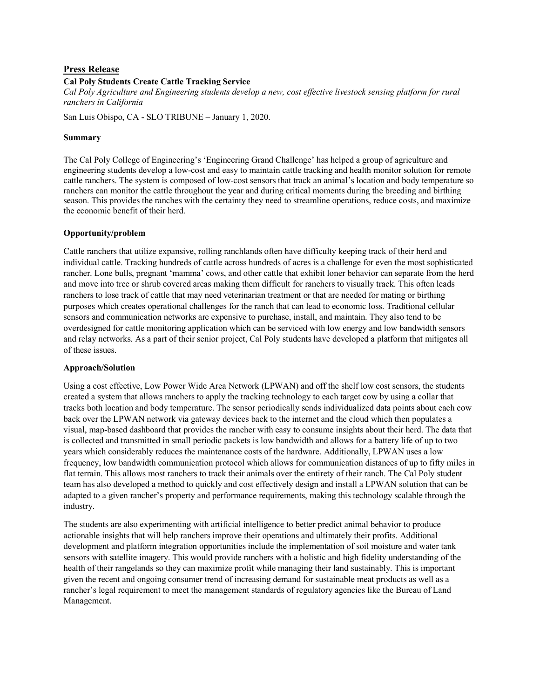# **Press Release**

# **Cal Poly Students Create Cattle Tracking Service**

*Cal Poly Agriculture and Engineering students develop a new, cost effective livestock sensing platform for rural ranchers in California*

San Luis Obispo, CA - SLO TRIBUNE – January 1, 2020.

### **Summary**

The Cal Poly College of Engineering's 'Engineering Grand Challenge' has helped a group of agriculture and engineering students develop a low-cost and easy to maintain cattle tracking and health monitor solution for remote cattle ranchers. The system is composed of low-cost sensors that track an animal's location and body temperature so ranchers can monitor the cattle throughout the year and during critical moments during the breeding and birthing season. This provides the ranches with the certainty they need to streamline operations, reduce costs, and maximize the economic benefit of their herd.

# **Opportunity/problem**

Cattle ranchers that utilize expansive, rolling ranchlands often have difficulty keeping track of their herd and individual cattle. Tracking hundreds of cattle across hundreds of acres is a challenge for even the most sophisticated rancher. Lone bulls, pregnant 'mamma' cows, and other cattle that exhibit loner behavior can separate from the herd and move into tree or shrub covered areas making them difficult for ranchers to visually track. This often leads ranchers to lose track of cattle that may need veterinarian treatment or that are needed for mating or birthing purposes which creates operational challenges for the ranch that can lead to economic loss. Traditional cellular sensors and communication networks are expensive to purchase, install, and maintain. They also tend to be overdesigned for cattle monitoring application which can be serviced with low energy and low bandwidth sensors and relay networks. As a part of their senior project, Cal Poly students have developed a platform that mitigates all of these issues.

### **Approach/Solution**

Using a cost effective, Low Power Wide Area Network (LPWAN) and off the shelf low cost sensors, the students created a system that allows ranchers to apply the tracking technology to each target cow by using a collar that tracks both location and body temperature. The sensor periodically sends individualized data points about each cow back over the LPWAN network via gateway devices back to the internet and the cloud which then populates a visual, map-based dashboard that provides the rancher with easy to consume insights about their herd. The data that is collected and transmitted in small periodic packets is low bandwidth and allows for a battery life of up to two years which considerably reduces the maintenance costs of the hardware. Additionally, LPWAN uses a low frequency, low bandwidth communication protocol which allows for communication distances of up to fifty miles in flat terrain. This allows most ranchers to track their animals over the entirety of their ranch. The Cal Poly student team has also developed a method to quickly and cost effectively design and install a LPWAN solution that can be adapted to a given rancher's property and performance requirements, making this technology scalable through the industry.

The students are also experimenting with artificial intelligence to better predict animal behavior to produce actionable insights that will help ranchers improve their operations and ultimately their profits. Additional development and platform integration opportunities include the implementation of soil moisture and water tank sensors with satellite imagery. This would provide ranchers with a holistic and high fidelity understanding of the health of their rangelands so they can maximize profit while managing their land sustainably. This is important given the recent and ongoing consumer trend of increasing demand for sustainable meat products as well as a rancher's legal requirement to meet the management standards of regulatory agencies like the Bureau of Land Management.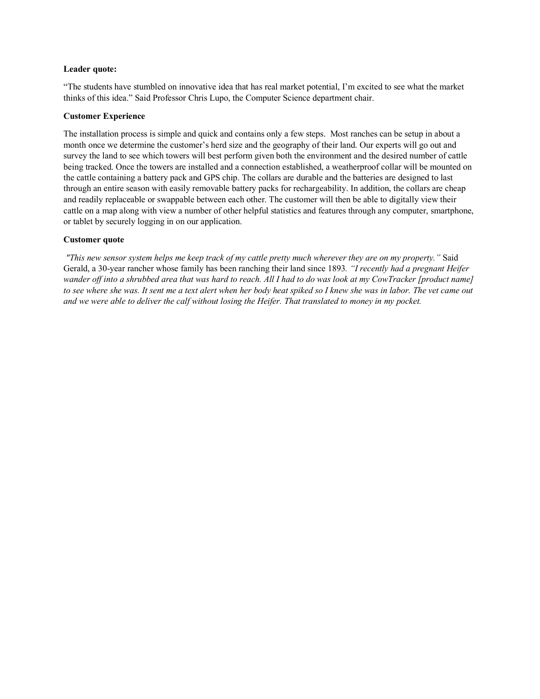## **Leader quote:**

"The students have stumbled on innovative idea that has real market potential, I'm excited to see what the market thinks of this idea." Said Professor Chris Lupo, the Computer Science department chair.

### **Customer Experience**

The installation process is simple and quick and contains only a few steps. Most ranches can be setup in about a month once we determine the customer's herd size and the geography of their land. Our experts will go out and survey the land to see which towers will best perform given both the environment and the desired number of cattle being tracked. Once the towers are installed and a connection established, a weatherproof collar will be mounted on the cattle containing a battery pack and GPS chip. The collars are durable and the batteries are designed to last through an entire season with easily removable battery packs for rechargeability. In addition, the collars are cheap and readily replaceable or swappable between each other. The customer will then be able to digitally view their cattle on a map along with view a number of other helpful statistics and features through any computer, smartphone, or tablet by securely logging in on our application.

## **Customer quote**

*"This new sensor system helps me keep track of my cattle pretty much wherever they are on my property."* Said Gerald, a 30-year rancher whose family has been ranching their land since 1893*. "I recently had a pregnant Heifer wander off into a shrubbed area that was hard to reach. All I had to do was look at my CowTracker [product name] to see where she was. It sent me a text alert when her body heat spiked so I knew she was in labor. The vet came out and we were able to deliver the calf without losing the Heifer. That translated to money in my pocket.*